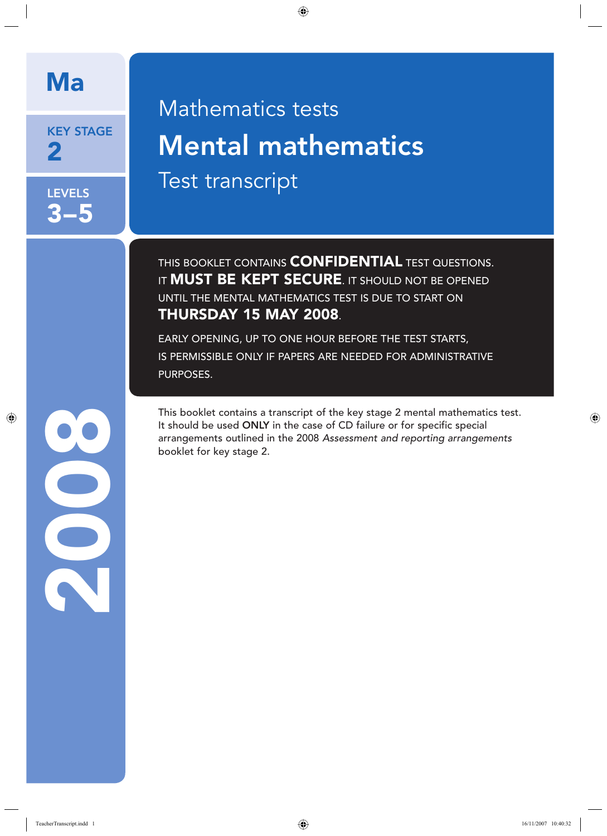# Ma

KEY STAGE 2

**LEVELS** 3–5

# Mathematics tests Mental mathematics Test transcript

THIS BOOKLET CONTAINS **CONFIDENTIAL** TEST QUESTIONS. IT **MUST BE KEPT SECURE**. IT SHOULD NOT BE OPENED UNTIL THE MENTAL MATHEMATICS TEST IS DUE TO START ON THURSDAY 15 MAY 2008.

EARLY OPENING, UP TO ONE HOUR BEFORE THE TEST STARTS, IS PERMISSIBLE ONLY IF PAPERS ARE NEEDED FOR ADMINISTRATIVE PURPOSES.

This booklet contains a transcript of the key stage 2 mental mathematics test. It should be used ONLY in the case of CD failure or for specific special arrangements outlined in the 2008 *Assessment and reporting arrangements*  booklet for key stage 2.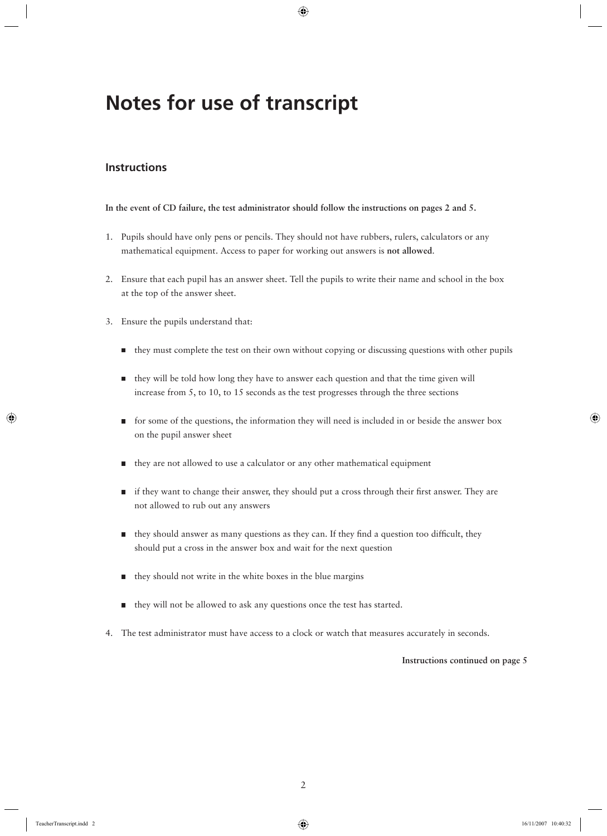# **Notes for use of transcript**

#### **Instructions**

#### **In the event of CD failure, the test administrator should follow the instructions on pages 2 and 5.**

- 1. Pupils should have only pens or pencils. They should not have rubbers, rulers, calculators or any mathematical equipment. Access to paper for working out answers is **not allowed**.
- 2. Ensure that each pupil has an answer sheet. Tell the pupils to write their name and school in the box at the top of the answer sheet.
- 3. Ensure the pupils understand that:
	- $\blacksquare$  they must complete the test on their own without copying or discussing questions with other pupils
	- $\blacksquare$  they will be told how long they have to answer each question and that the time given will increase from 5, to 10, to 15 seconds as the test progresses through the three sections
	- for some of the questions, the information they will need is included in or beside the answer box on the pupil answer sheet
	- they are not allowed to use a calculator or any other mathematical equipment
	- if they want to change their answer, they should put a cross through their first answer. They are not allowed to rub out any answers
	- they should answer as many questions as they can. If they find a question too difficult, they should put a cross in the answer box and wait for the next question
	- $\blacksquare$  they should not write in the white boxes in the blue margins
	- they will not be allowed to ask any questions once the test has started.
- 4. The test administrator must have access to a clock or watch that measures accurately in seconds.

#### **Instructions continued on page 5**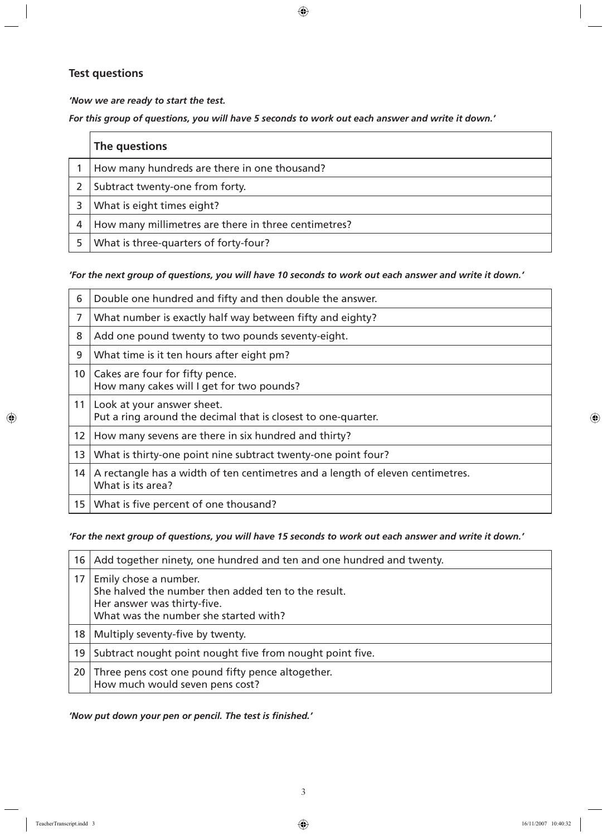#### **Test questions**

*'Now we are ready to start the test.* 

*For this group of questions, you will have 5 seconds to work out each answer and write it down.'*

| The questions                                        |
|------------------------------------------------------|
| How many hundreds are there in one thousand?         |
| Subtract twenty-one from forty.                      |
| What is eight times eight?                           |
| How many millimetres are there in three centimetres? |
| What is three-quarters of forty-four?                |

#### *'For the next group of questions, you will have 10 seconds to work out each answer and write it down.'*

| 6               | Double one hundred and fifty and then double the answer.                                            |
|-----------------|-----------------------------------------------------------------------------------------------------|
| 7               | What number is exactly half way between fifty and eighty?                                           |
| 8               | Add one pound twenty to two pounds seventy-eight.                                                   |
| 9               | What time is it ten hours after eight pm?                                                           |
| 10 <sup>°</sup> | Cakes are four for fifty pence.<br>How many cakes will I get for two pounds?                        |
| 11              | Look at your answer sheet.<br>Put a ring around the decimal that is closest to one-quarter.         |
| 12 <sup>2</sup> | How many sevens are there in six hundred and thirty?                                                |
| 13              | What is thirty-one point nine subtract twenty-one point four?                                       |
| 14              | A rectangle has a width of ten centimetres and a length of eleven centimetres.<br>What is its area? |
| 15              | What is five percent of one thousand?                                                               |

#### *'For the next group of questions, you will have 15 seconds to work out each answer and write it down.'*

| 16 <sup>1</sup> | Add together ninety, one hundred and ten and one hundred and twenty.                                                                                 |
|-----------------|------------------------------------------------------------------------------------------------------------------------------------------------------|
| 17              | Emily chose a number.<br>She halved the number then added ten to the result.<br>Her answer was thirty-five.<br>What was the number she started with? |
| 18              | Multiply seventy-five by twenty.                                                                                                                     |
| 19              | Subtract nought point nought five from nought point five.                                                                                            |
|                 | 20 Three pens cost one pound fifty pence altogether.<br>How much would seven pens cost?                                                              |

'Now put down your pen or pencil. The test is finished.'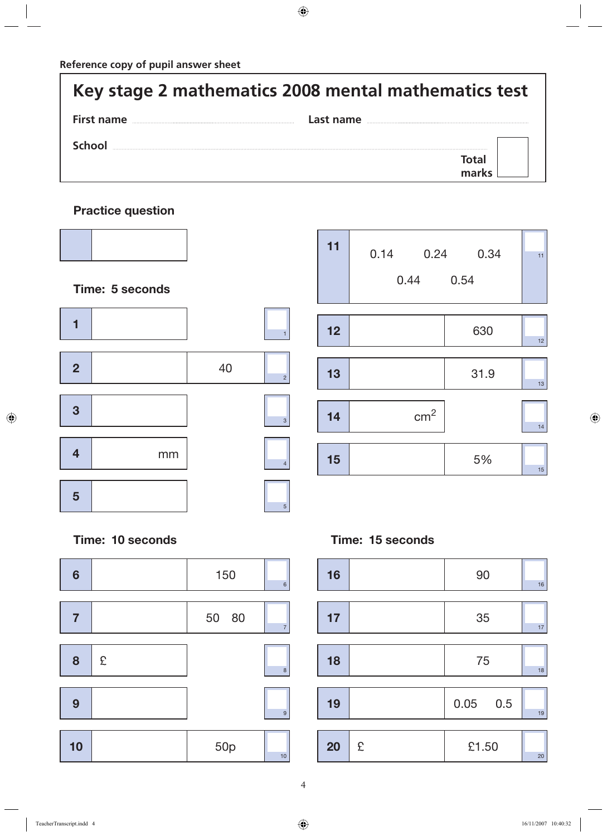$\overbrace{\hspace{25mm}}^{}$ 

| Key stage 2 mathematics 2008 mental mathematics test |           |  |
|------------------------------------------------------|-----------|--|
| First name                                           | Last name |  |
| School                                               |           |  |
|                                                      |           |  |

## **Practice question**



| 11 | 0.14<br>0.24<br>0.44 | 0.34<br>0.54 | 11 |
|----|----------------------|--------------|----|
|    |                      |              |    |
| 12 |                      | 630          | 12 |
|    |                      |              |    |
| 13 |                      | 31.9         | 13 |
|    |                      |              |    |
| 14 | cm <sup>2</sup>      |              | 14 |
|    |                      |              |    |
| 15 |                      | 5%           | 15 |

### **Time: 15 seconds**

| 16 |   | 90         | 16 |
|----|---|------------|----|
| 17 |   | 35         | 17 |
| 18 |   | 75         | 18 |
| 19 |   | $0.05$ 0.5 | 19 |
| 20 | £ | £1.50      | 20 |

## **Time: 10 seconds**

| $6\phantom{1}6$ |   | 150             | $6\phantom{a}$ |
|-----------------|---|-----------------|----------------|
|                 |   |                 |                |
| $\overline{7}$  |   | 50 80           | $\overline{7}$ |
|                 |   |                 |                |
| 8               | £ |                 | 8              |
|                 |   |                 |                |
| 9               |   |                 |                |
|                 |   |                 | 9              |
|                 |   |                 |                |
| 10              |   | 50 <sub>p</sub> |                |
|                 |   |                 | 10             |